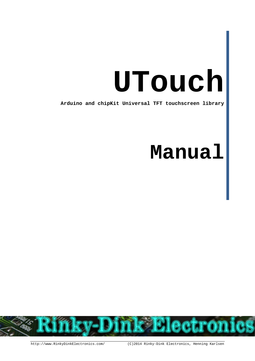# **UTouch**

**Arduino and chipKit Universal TFT touchscreen library**

## **Manual**

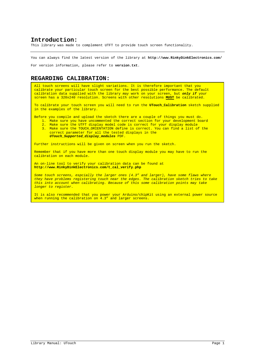#### **Introduction:**

This library was made to complement UTFT to provide touch screen functionality.

You can always find the latest version of the library at **http://www.RinkyDinkElectronics.com/**

For version information, please refer to **version.txt**.

#### **REGARDING CALIBRATION:**

All touch screens will have slight variations. It is therefore important that you calibrate your particular touch screen for the best possible performance. The default calibration data supplied with the library *may* work on your screen, but *only if* your screen has a 320x240 resolution. Screens with other resolutions **MUST** be calibrated.

To calibrate your touch screen you will need to run the **UTouch\_Calibration** sketch supplied in the examples of the library.

- Before you compile and upload the sketch there are a couple of things you must do.
	- 1. Make sure you have uncommented the correct section for your development board
	- 2. Make sure the UTFT display model code is correct for your display module
	- 3. Make sure the TOUCH\_ORIENTATION define is correct. You can find a list of the correct parameter for all the tested displays in the *UTouch\_Supported\_display\_modules* PDF.

Further instructions will be given on screen when you run the sketch.

Remember that if you have more than one touch display module you may have to run the calibration on each module.

An on-line tool to verify your calibration data can be found at **http://www.RinkyDinkElectronics.com/t\_cal\_verify.php**

*Some touch screens, espcially the larger ones (4.3" and larger), have some flaws where they have problems registering touch near the edges. The calibration sketch tries to take this into account when calibrating. Because of this some calibration points may take longer to register.*

It is also recommended that you power your Arduino/chipKit using an external power source when running the calibration on 4.3" and larger screens.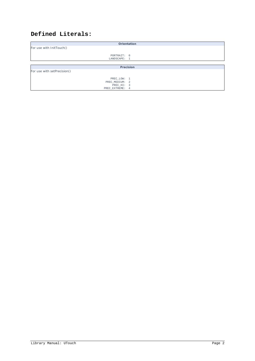### **Defined Literals:**

|                             | Orientation |  |  |  |  |  |  |
|-----------------------------|-------------|--|--|--|--|--|--|
| For use with InitTouch()    |             |  |  |  |  |  |  |
| PORTRAIT: 0<br>LANDSCAPE: 1 |             |  |  |  |  |  |  |
|                             |             |  |  |  |  |  |  |
|                             | Precision   |  |  |  |  |  |  |
| For use with setPrecision() |             |  |  |  |  |  |  |
|                             |             |  |  |  |  |  |  |
| PREC_LOW: 1                 |             |  |  |  |  |  |  |
| PREC MEDIUM: 2              |             |  |  |  |  |  |  |
| PREC_HI: 3                  |             |  |  |  |  |  |  |
| PREC EXTREME: 4             |             |  |  |  |  |  |  |